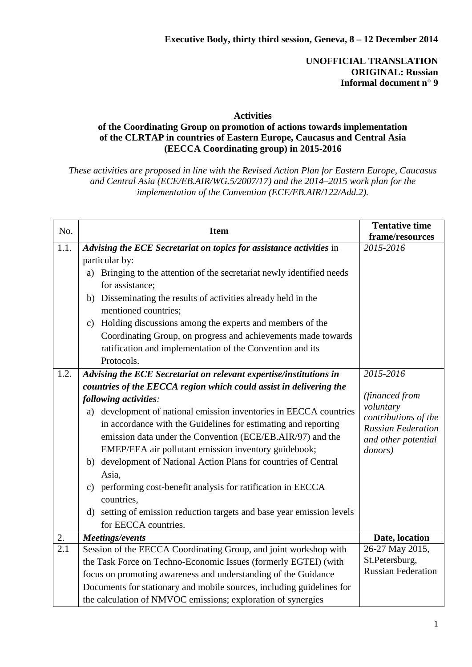## **UNOFFICIAL TRANSLATION ORIGINAL: Russian Informal document n° 9**

## **Activities**

## **of the Coordinating Group on promotion of actions towards implementation of the CLRTAP in countries of Eastern Europe, Caucasus and Central Asia (EECCA Coordinating group) in 2015-2016**

*These activities are proposed in line with the Revised Action Plan for Eastern Europe, Caucasus and Central Asia (ECE/EB.AIR/WG.5/2007/17) and the 2014–2015 work plan for the implementation of the Convention (ECE/EB.AIR/122/Add.2).*

| No.              | <b>Item</b>                                                                               | <b>Tentative time</b><br>frame/resources    |
|------------------|-------------------------------------------------------------------------------------------|---------------------------------------------|
| 1.1.             | Advising the ECE Secretariat on topics for assistance activities in                       | 2015-2016                                   |
|                  | particular by:                                                                            |                                             |
|                  | Bringing to the attention of the secretariat newly identified needs<br>a)                 |                                             |
|                  | for assistance;                                                                           |                                             |
|                  | Disseminating the results of activities already held in the<br>b)<br>mentioned countries; |                                             |
|                  | Holding discussions among the experts and members of the<br>$\mathbf{c})$                 |                                             |
|                  | Coordinating Group, on progress and achievements made towards                             |                                             |
|                  | ratification and implementation of the Convention and its                                 |                                             |
|                  | Protocols.                                                                                |                                             |
| 1.2.             | Advising the ECE Secretariat on relevant expertise/institutions in                        | 2015-2016                                   |
|                  | countries of the EECCA region which could assist in delivering the                        |                                             |
|                  | following activities:                                                                     | (financed from<br>voluntary                 |
|                  | development of national emission inventories in EECCA countries<br>a)                     | contributions of the                        |
|                  | in accordance with the Guidelines for estimating and reporting                            | <b>Russian Federation</b>                   |
|                  | emission data under the Convention (ECE/EB.AIR/97) and the                                | and other potential                         |
|                  | EMEP/EEA air pollutant emission inventory guidebook;                                      | donors)                                     |
|                  | b) development of National Action Plans for countries of Central                          |                                             |
|                  | Asia,                                                                                     |                                             |
|                  | c) performing cost-benefit analysis for ratification in EECCA                             |                                             |
|                  | countries.                                                                                |                                             |
|                  | setting of emission reduction targets and base year emission levels<br>d)                 |                                             |
|                  | for EECCA countries.                                                                      |                                             |
| 2.               | Meetings/events                                                                           | Date, location                              |
| $\overline{2.1}$ | Session of the EECCA Coordinating Group, and joint workshop with                          | 26-27 May 2015,                             |
|                  | the Task Force on Techno-Economic Issues (formerly EGTEI) (with                           | St.Petersburg,<br><b>Russian Federation</b> |
|                  | focus on promoting awareness and understanding of the Guidance                            |                                             |
|                  | Documents for stationary and mobile sources, including guidelines for                     |                                             |
|                  | the calculation of NMVOC emissions; exploration of synergies                              |                                             |